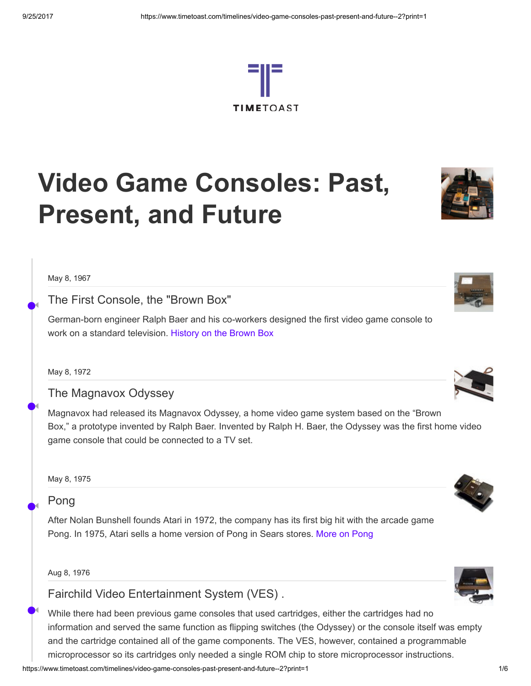

# Video Game Consoles: Past, Present, and Future

May 8, 1967

•

◀

•

◀

•

◀

•

◀

# The First Console, the "Brown Box"

German-born engineer Ralph Baer and his co-workers designed the first video game console to work on a standard television. [History](http://americanhistory.si.edu/collections/object.cfm?key=35&gkey=216&objkey=9931) on the Brown Box

May 8, 1972

The Magnavox Odyssey

Magnavox had released its Magnavox Odyssey, a home video game system based on the "Brown Box," a prototype invented by Ralph Baer. Invented by Ralph H. Baer, the Odyssey was the first home video game console that could be connected to a TV set.

May 8, 1975

## Pong

After Nolan Bunshell founds Atari in 1972, the company has its first big hit with the arcade game Pong. In 1975, Atari sells a home version of Pong in Sears stores. More on [Pong](http://classicgaming.gamespy.com/View.php?view=ConsoleMuseum.Detail&id=3&game=12)

Aug 8, 1976

Fairchild Video Entertainment System (VES) .

While there had been previous game consoles that used cartridges, either the cartridges had no information and served the same function as flipping switches (the Odyssey) or the console itself was empty and the cartridge contained all of the game components. The VES, however, contained a programmable microprocessor so its cartridges only needed a single ROM chip to store microprocessor instructions.







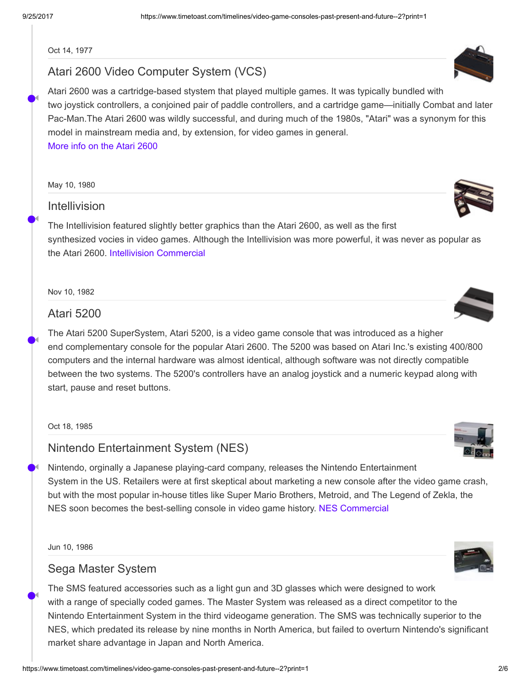◀

•

◀

•

◀

•

◀

•

◀

Oct 14, 1977

# Atari 2600 Video Computer System (VCS)

Atari 2600 was a cartridge-based stystem that played multiple games. It was typically bundled with two joystick controllers, a conjoined pair of paddle controllers, and a cartridge game—initially Combat and later Pac-Man.The Atari 2600 was wildly successful, and during much of the 1980s, "Atari" was a synonym for this model in mainstream media and, by extension, for video games in general. [More](http://classicgaming.gamespy.com/2600/) info on the Atari 2600

May 10, 1980

# Intellivision

The Intellivision featured slightly better graphics than the Atari 2600, as well as the first synthesized vocies in video games. Although the Intellivision was more powerful, it was never as popular as the Atari 2600. Intellivision [Commercial](http://youtu.be/nYdYL_DPrrs)

Nov 10, 1982

## Atari 5200

The Atari 5200 SuperSystem, Atari 5200, is a video game console that was introduced as a higher end complementary console for the popular Atari 2600. The 5200 was based on Atari Inc.'s existing 400/800 computers and the internal hardware was almost identical, although software was not directly compatible between the two systems. The 5200's controllers have an analog joystick and a numeric keypad along with start, pause and reset buttons.

Oct 18, 1985

# Nintendo Entertainment System (NES)

Nintendo, orginally a Japanese playing-card company, releases the Nintendo Entertainment System in the US. Retailers were at first skeptical about marketing a new console after the video game crash, but with the most popular in-house titles like Super Mario Brothers, Metroid, and The Legend of Zekla, the NES soon becomes the best-selling console in video game history. NES [Commercial](http://youtu.be/bzdyp9L7se8)

Jun 10, 1986

#### Sega Master System

The SMS featured accessories such as a light gun and 3D glasses which were designed to work with a range of specially coded games. The Master System was released as a direct competitor to the Nintendo Entertainment System in the third videogame generation. The SMS was technically superior to the NES, which predated its release by nine months in North America, but failed to overturn Nintendo's significant market share advantage in Japan and North America.













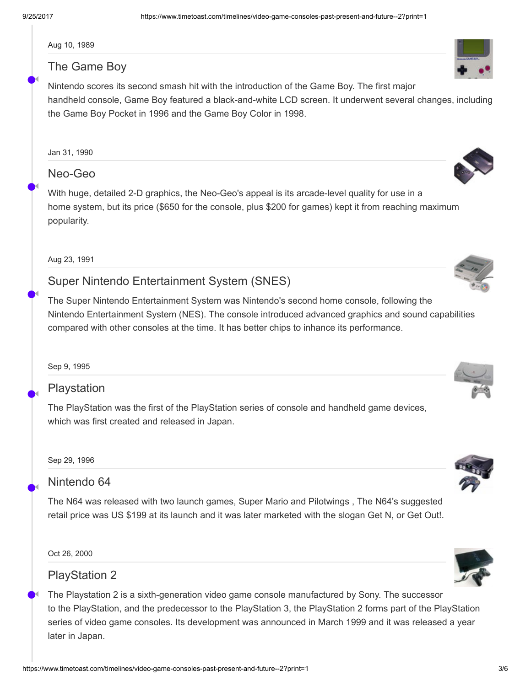◀

•

◀

•

◀

•

◀

•

◀

•

◀

Aug 10, 1989

# The Game Boy

Nintendo scores its second smash hit with the introduction of the Game Boy. The first major handheld console, Game Boy featured a black-and-white LCD screen. It underwent several changes, including the Game Boy Pocket in 1996 and the Game Boy Color in 1998.

# Neo-Geo

With huge, detailed 2-D graphics, the Neo-Geo's appeal is its arcade-level quality for use in a home system, but its price (\$650 for the console, plus \$200 for games) kept it from reaching maximum popularity.

Aug 23, 1991

# Super Nintendo Entertainment System (SNES)

The Super Nintendo Entertainment System was Nintendo's second home console, following the Nintendo Entertainment System (NES). The console introduced advanced graphics and sound capabilities compared with other consoles at the time. It has better chips to inhance its performance.

Sep 9, 1995

# Playstation

The PlayStation was the first of the PlayStation series of console and handheld game devices, which was first created and released in Japan.

Sep 29, 1996

# Nintendo 64

The N64 was released with two launch games, Super Mario and Pilotwings , The N64's suggested retail price was US \$199 at its launch and it was later marketed with the slogan Get N, or Get Out!.

Oct 26, 2000

# PlayStation 2

The Playstation 2 is a sixth-generation video game console manufactured by Sony. The successor to the PlayStation, and the predecessor to the PlayStation 3, the PlayStation 2 forms part of the PlayStation series of video game consoles. Its development was announced in March 1999 and it was released a year later in Japan.

















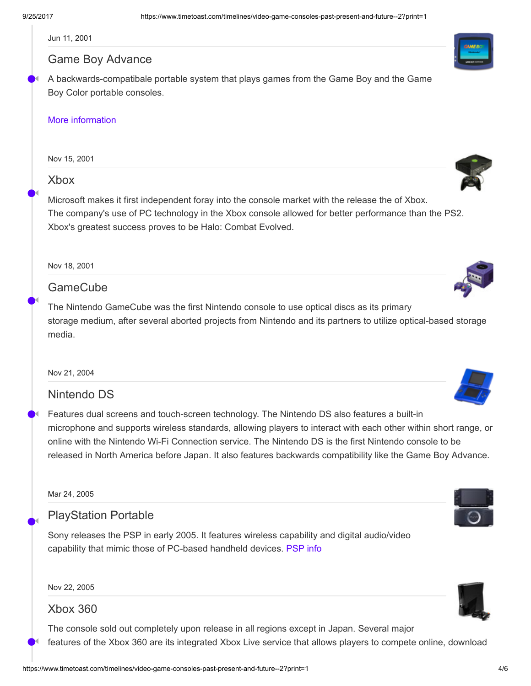◀

•

◀

•

◀

•

◀

•

◀

•

◀

Jun 11, 2001

## Game Boy Advance

A backwards-compatibale portable system that plays games from the Game Boy and the Game Boy Color portable consoles.

#### More [information](http://en.wikipedia.org/wiki/Game_Boy_Advance)

Nov 15, 2001

## Xbox

Microsoft makes it first independent foray into the console market with the release the of Xbox. The company's use of PC technology in the Xbox console allowed for better performance than the PS2. Xbox's greatest success proves to be Halo: Combat Evolved.

Nov 18, 2001

# **GameCube**

The Nintendo GameCube was the first Nintendo console to use optical discs as its primary storage medium, after several aborted projects from Nintendo and its partners to utilize optical-based storage media.

Nov 21, 2004

## Nintendo DS

Features dual screens and touch-screen technology. The Nintendo DS also features a built-in microphone and supports wireless standards, allowing players to interact with each other within short range, or online with the Nintendo Wi-Fi Connection service. The Nintendo DS is the first Nintendo console to be released in North America before Japan. It also features backwards compatibility like the Game Boy Advance.

Mar 24, 2005

# PlayStation Portable

Sony releases the PSP in early 2005. It features wireless capability and digital audio/video capability that mimic those of PC-based handheld devices. [PSP](http://en.wikipedia.org/wiki/PlayStation_Portable) info

Nov 22, 2005

## Xbox 360

The console sold out completely upon release in all regions except in Japan. Several major features of the Xbox 360 are its integrated Xbox Live service that allows players to compete online, download















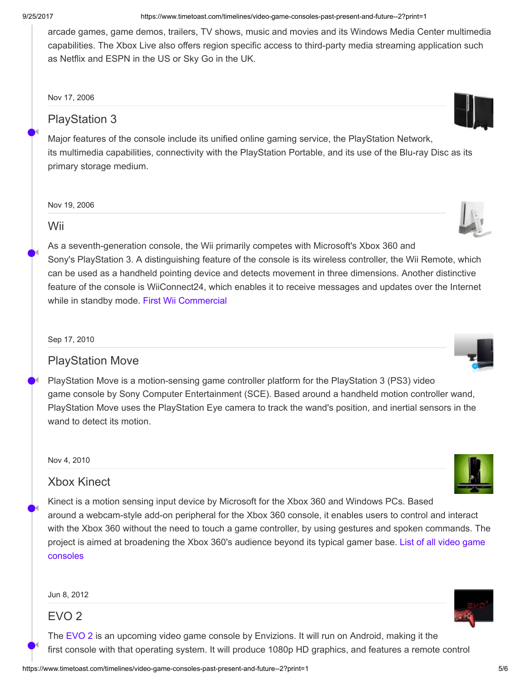◀

•

◀

•

◀

•

◀

•

◀

9/25/2017 https://www.timetoast.com/timelines/video-game-consoles-past-present-and-future--2?print=1

arcade games, game demos, trailers, TV shows, music and movies and its Windows Media Center multimedia capabilities. The Xbox Live also offers region specific access to third-party media streaming application such as Netflix and ESPN in the US or Sky Go in the UK.

Nov 17, 2006

# PlayStation 3

Major features of the console include its unified online gaming service, the PlayStation Network, its multimedia capabilities, connectivity with the PlayStation Portable, and its use of the Blu-ray Disc as its primary storage medium.

Nov 19, 2006

## Wii

As a seventh-generation console, the Wii primarily competes with Microsoft's Xbox 360 and Sony's PlayStation 3. A distinguishing feature of the console is its wireless controller, the Wii Remote, which can be used as a handheld pointing device and detects movement in three dimensions. Another distinctive feature of the console is WiiConnect24, which enables it to receive messages and updates over the Internet while in standby mode. First Wii [Commercial](http://youtu.be/uGSmC-FllNk)

Sep 17, 2010

# PlayStation Move

PlayStation Move is a motion-sensing game controller platform for the PlayStation 3 (PS3) video game console by Sony Computer Entertainment (SCE). Based around a handheld motion controller wand, PlayStation Move uses the PlayStation Eye camera to track the wand's position, and inertial sensors in the wand to detect its motion.

Nov 4, 2010

## Xbox Kinect

Kinect is a motion sensing input device by Microsoft for the Xbox 360 and Windows PCs. Based around a webcam-style add-on peripheral for the Xbox 360 console, it enables users to control and interact with the Xbox 360 without the need to touch a game controller, by using gestures and spoken commands. The project is aimed at [broadening](http://en.wikipedia.org/wiki/List_of_video_game_consoles) the Xbox 360's audience beyond its typical gamer base. List of all video game consoles

Jun 8, 2012

# EVO 2

The [EVO](http://en.wikipedia.org/wiki/EVO_2) 2 is an upcoming video game console by Envizions. It will run on Android, making it the first console with that operating system. It will produce 1080p HD graphics, and features a remote control